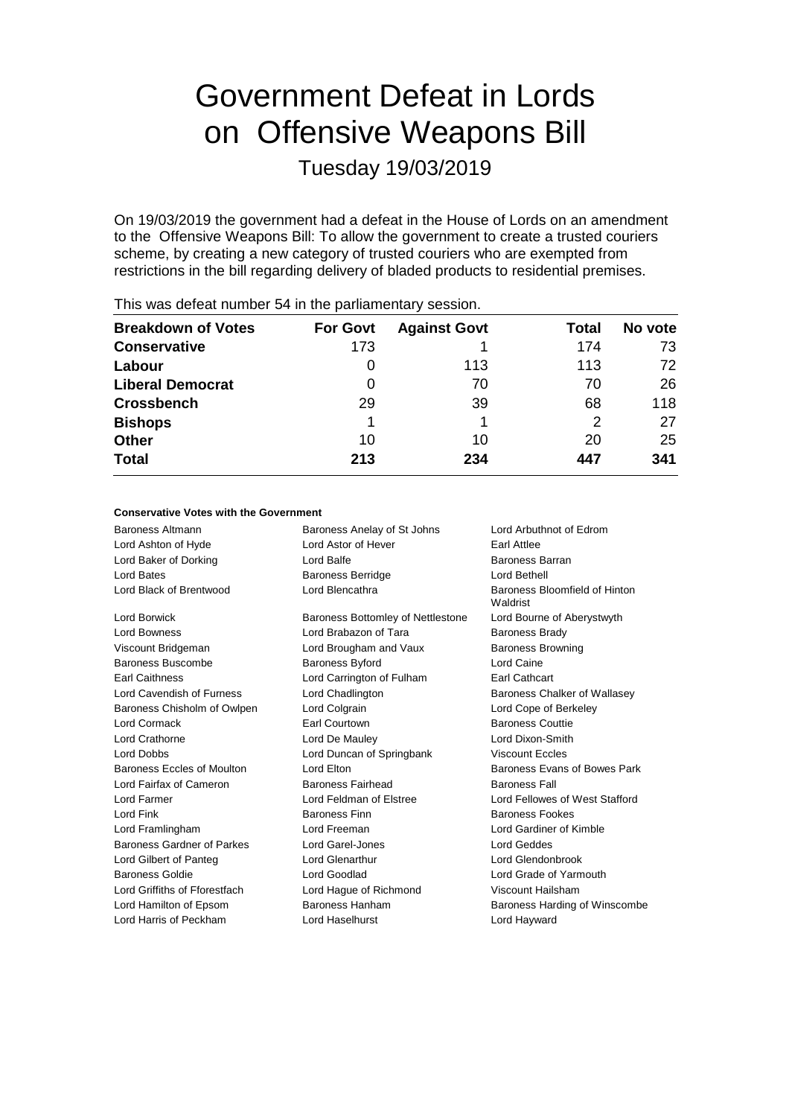# Government Defeat in Lords on Offensive Weapons Bill

Tuesday 19/03/2019

On 19/03/2019 the government had a defeat in the House of Lords on an amendment to the Offensive Weapons Bill: To allow the government to create a trusted couriers scheme, by creating a new category of trusted couriers who are exempted from restrictions in the bill regarding delivery of bladed products to residential premises.

| <b>Breakdown of Votes</b> | <b>For Govt</b> | <b>Against Govt</b> | Total | No vote |
|---------------------------|-----------------|---------------------|-------|---------|
| <b>Conservative</b>       | 173             |                     | 174   | 73      |
| Labour                    | 0               | 113                 | 113   | 72      |
| <b>Liberal Democrat</b>   | 0               | 70                  | 70    | 26      |
| <b>Crossbench</b>         | 29              | 39                  | 68    | 118     |
| <b>Bishops</b>            |                 |                     | 2     | 27      |
| <b>Other</b>              | 10              | 10                  | 20    | 25      |
| <b>Total</b>              | 213             | 234                 | 447   | 341     |
|                           |                 |                     |       |         |

This was defeat number 54 in the parliamentary session.

#### **Conservative Votes with the Government**

| Baroness Altmann              | Baroness Anelay of St Johns<br>Lord Arbuthnot of Edrom |                                           |
|-------------------------------|--------------------------------------------------------|-------------------------------------------|
| Lord Ashton of Hyde           | Lord Astor of Hever                                    | <b>Earl Attlee</b>                        |
| Lord Baker of Dorking         | Lord Balfe                                             | Baroness Barran                           |
| Lord Bates                    | <b>Baroness Berridge</b>                               | Lord Bethell                              |
| Lord Black of Brentwood       | Lord Blencathra                                        | Baroness Bloomfield of Hinton<br>Waldrist |
| Lord Borwick                  | Baroness Bottomley of Nettlestone                      | Lord Bourne of Aberystwyth                |
| Lord Bowness                  | Lord Brabazon of Tara                                  | <b>Baroness Brady</b>                     |
| Viscount Bridgeman            | Lord Brougham and Vaux                                 | <b>Baroness Browning</b>                  |
| Baroness Buscombe             | <b>Baroness Byford</b>                                 | Lord Caine                                |
| <b>Earl Caithness</b>         | Lord Carrington of Fulham                              | <b>Earl Cathcart</b>                      |
| Lord Cavendish of Furness     | Lord Chadlington                                       | Baroness Chalker of Wallasey              |
| Baroness Chisholm of Owlpen   | Lord Colgrain                                          | Lord Cope of Berkeley                     |
| Lord Cormack                  | Earl Courtown                                          | <b>Baroness Couttie</b>                   |
| Lord Crathorne                | Lord De Mauley                                         | Lord Dixon-Smith                          |
| Lord Dobbs                    | Lord Duncan of Springbank                              | <b>Viscount Eccles</b>                    |
| Baroness Eccles of Moulton    | Lord Elton                                             | Baroness Evans of Bowes Park              |
| Lord Fairfax of Cameron       | Baroness Fairhead                                      | <b>Baroness Fall</b>                      |
| Lord Farmer                   | Lord Feldman of Elstree                                | Lord Fellowes of West Stafford            |
| Lord Fink                     | <b>Baroness Finn</b>                                   | <b>Baroness Fookes</b>                    |
| Lord Framlingham              | Lord Freeman                                           | Lord Gardiner of Kimble                   |
| Baroness Gardner of Parkes    | Lord Garel-Jones                                       | Lord Geddes                               |
| Lord Gilbert of Panteg        | <b>Lord Glenarthur</b>                                 | Lord Glendonbrook                         |
| <b>Baroness Goldie</b>        | Lord Goodlad                                           | Lord Grade of Yarmouth                    |
| Lord Griffiths of Fforestfach | Lord Hague of Richmond                                 | Viscount Hailsham                         |
| Lord Hamilton of Epsom        | Baroness Hanham                                        | Baroness Harding of Winscombe             |
| Lord Harris of Peckham        | Lord Haselhurst                                        | Lord Hayward                              |
|                               |                                                        |                                           |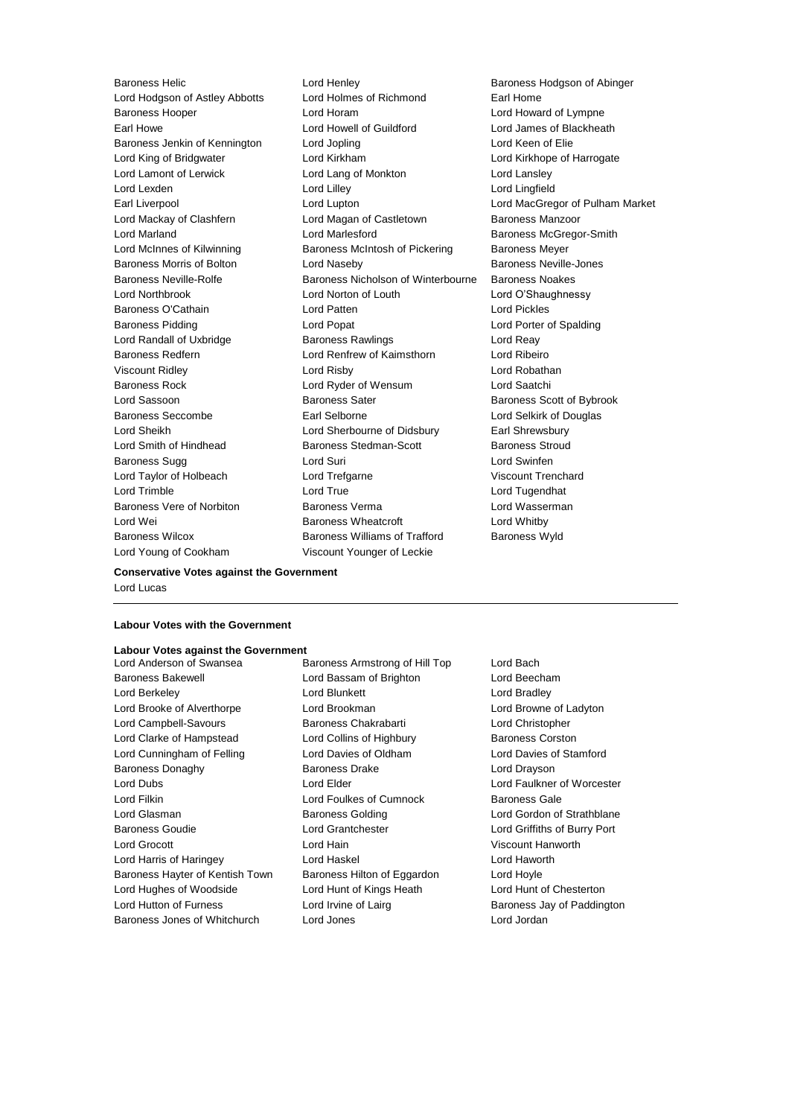Lord Young of Cookham Viscount Younger of Leckie

Baroness Helic **Lord Henley** Lord Henley **Baroness Hodgson of Abinger**<br>
Lord Hodgson of Astley Abbotts Lord Holmes of Richmond **Earl Home** Lord Hodgson of Astley Abbotts Lord Holmes of Richmond Earl Home Baroness Hooper Lord Horam Lord Howard of Lympne Earl Howe Lord Howell of Guildford Lord James of Blackheath Baroness Jenkin of Kennington Lord Jopling Lord Keen of Elie Lord King of Bridgwater Lord Kirkham Lord Kirkhope of Harrogate Lord Lamont of Lerwick Lord Lord Lang of Monkton Lord Lansley Lord Lexden Lord Lilley Lord Lingfield Earl Liverpool Lord Lupton Lord MacGregor of Pulham Market Lord Mackay of Clashfern Lord Magan of Castletown Baroness Manzoor Lord Marland **Lord Marlesford** Baroness McGregor-Smith Lord McInnes of Kilwinning **Baroness McIntosh of Pickering** Baroness Meyer Baroness Morris of Bolton Lord Naseby Baroness Neville-Jones Baroness Neville-Rolfe **Baroness Nicholson of Winterbourne** Baroness Noakes Lord Northbrook Lord Norton of Louth Lord O'Shaughnessy Baroness O'Cathain Lord Patten Lord Pickles Baroness Pidding Lord Popat Lord Porter of Spalding Lord Randall of Uxbridge **Baroness Rawlings Lord Reay** Baroness Redfern Lord Renfrew of Kaimsthorn Lord Ribeiro Viscount Ridley Lord Risby Lord Robathan Baroness Rock Lord Ryder of Wensum Lord Saatchi Lord Sassoon Baroness Sater Baroness Scott of Bybrook Baroness Seccombe Earl Selborne Lord Selkirk of Douglas Lord Sheikh Lord Sherbourne of Didsbury Earl Shrewsbury Lord Smith of Hindhead **Baroness Stedman-Scott** Baroness Stroud Baroness Sugg Lord Suri Lord Swinfen Lord Taylor of Holbeach Lord Trefgarne Viscount Trenchard Lord Trimble Lord True Lord Tugendhat Baroness Vere of Norbiton **Baroness Verma** Baroness Verman Lord Wasserman Lord Wei **Baroness Wheatcroft** Lord Whitby **Contains Lord White** Wheat Contains a Lord Whitby Baroness Wilcox **Baroness Williams of Trafford** Baroness Wyld

#### **Conservative Votes against the Government**

Lord Lucas

#### **Labour Votes with the Government**

## **Labour Votes against the Government**

Baroness Bakewell Lord Bassam of Brighton Lord Beecham Lord Berkeley Lord Blunkett Lord Bradley Lord Brooke of Alverthorpe **Lord Brookman** Lord Brookman Lord Browne of Ladyton Lord Campbell-Savours Baroness Chakrabarti Lord Christopher Lord Clarke of Hampstead Lord Collins of Highbury Baroness Corston Lord Cunningham of Felling Lord Davies of Oldham Lord Davies of Stamford Baroness Donaghy **Baroness Drake** Lord Drayson Lord Dubs Lord Elder Lord Faulkner of Worcester Lord Filkin Lord Foulkes of Cumnock Baroness Gale Lord Glasman **Baroness Golding Class Constructs** Lord Gordon of Strathblane Baroness Goudie Lord Grantchester Lord Griffiths of Burry Port Lord Grocott Lord Hain Viscount Hanworth Lord Harris of Haringey Lord Haskel Lord Haworth Baroness Hayter of Kentish Town Baroness Hilton of Eggardon Lord Hoyle Lord Hughes of Woodside Lord Hunt of Kings Heath Lord Hunt of Chesterton Lord Hutton of Furness **Lord Irvine of Lairg** Baroness Jay of Paddington Baroness Jones of Whitchurch Lord Jones Lord Jordan

Baroness Armstrong of Hill Top Lord Bach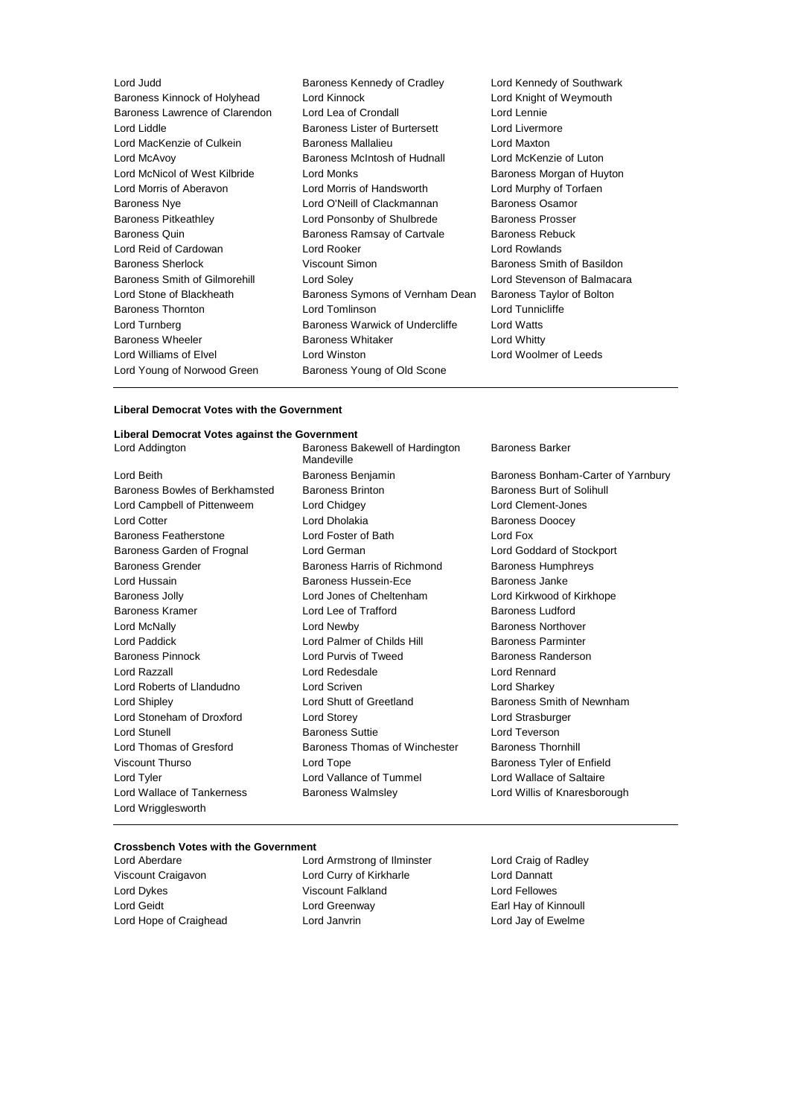| Lord Judd                      | Baroness Kennedy of Cradley          | Lord Kennedy of Southwark  |
|--------------------------------|--------------------------------------|----------------------------|
| Baroness Kinnock of Holyhead   | Lord Kinnock                         | Lord Knight of Weymouth    |
| Baroness Lawrence of Clarendon | Lord Lea of Crondall                 | Lord Lennie                |
| Lord Liddle                    | <b>Baroness Lister of Burtersett</b> | Lord Livermore             |
| Lord MacKenzie of Culkein      | Baroness Mallalieu                   | Lord Maxton                |
| Lord McAvoy                    | Baroness McIntosh of Hudnall         | Lord McKenzie of Luton     |
| Lord McNicol of West Kilbride  | Lord Monks                           | Baroness Morgan of Huyton  |
| Lord Morris of Aberavon        | Lord Morris of Handsworth            | Lord Murphy of Torfaen     |
| Baroness Nye                   | Lord O'Neill of Clackmannan          | Baroness Osamor            |
| <b>Baroness Pitkeathley</b>    | Lord Ponsonby of Shulbrede           | <b>Baroness Prosser</b>    |
| <b>Baroness Quin</b>           | Baroness Ramsay of Cartvale          | <b>Baroness Rebuck</b>     |
| Lord Reid of Cardowan          | Lord Rooker                          | Lord Rowlands              |
| <b>Baroness Sherlock</b>       | Viscount Simon                       | Baroness Smith of Basildon |
| Baroness Smith of Gilmorehill  | Lord Soley                           | Lord Stevenson of Balmaca  |
| Lord Stone of Blackheath       | Baroness Symons of Vernham Dean      | Baroness Taylor of Bolton  |
| <b>Baroness Thornton</b>       | Lord Tomlinson                       | Lord Tunnicliffe           |
| Lord Turnberg                  | Baroness Warwick of Undercliffe      | Lord Watts                 |
| <b>Baroness Wheeler</b>        | <b>Baroness Whitaker</b>             | Lord Whitty                |
| Lord Williams of Elvel         | Lord Winston                         | Lord Woolmer of Leeds      |
| Lord Young of Norwood Green    | Baroness Young of Old Scone          |                            |
|                                |                                      |                            |

h of Basildon n of Balmacara

#### **Liberal Democrat Votes with the Government**

## **Liberal Democrat Votes against the Government**

Lord Beith Baroness Benjamin Baroness Bonham-Carter of Yarnbury Baroness Bowles of Berkhamsted Baroness Brinton Baroness Baroness Burt of Solihull Lord Campbell of Pittenweem Lord Chidgey Lord Clement-Jones Lord Cotter **Lord Dholakia** Baroness Doocey Baroness Featherstone Lord Foster of Bath Lord Fox Baroness Garden of Frognal Lord German Lord Goddard of Stockport Baroness Grender Baroness Harris of Richmond Baroness Humphreys Lord Hussain Baroness Hussein-Ece Baroness Janke Baroness Jolly Lord Jones of Cheltenham Lord Kirkwood of Kirkhope Baroness Kramer **Reserve Lord Lee of Trafford** Baroness Ludford Baroness Ludford Lord McNally Lord Newby Baroness Northover Lord Paddick Lord Palmer of Childs Hill Baroness Parminter Baroness Pinnock **Lord Purvis of Tweed** Baroness Randerson Lord Razzall Lord Redesdale Lord Rennard Lord Roberts of Llandudno Lord Scriven Lord Sharkey Lord Shipley **Lord Shutt of Greetland** Baroness Smith of Newnham Lord Stoneham of Droxford Lord Storey Lord Strasburger Lord Stunell Baroness Suttie Lord Teverson Lord Thomas of Gresford **Baroness Thomas of Winchester** Baroness Thornhill Viscount Thurso **Communist Contains Lord Tope Baroness Tyler of Enfield** Lord Tyler Lord Vallance of Tummel Lord Wallace of Saltaire Lord Wallace of Tankerness **Baroness Walmsley Communist Construct** Lord Willis of Knaresborough Lord Wrigglesworth

Baroness Bakewell of Hardington Mandeville

Baroness Barker

#### **Crossbench Votes with the Government**

Lord Aberdare Lord Armstrong of Ilminster Lord Craig of Radley

Viscount Craigavon Lord Curry of Kirkharle Lord Dannatt Lord Dykes Viscount Falkland Lord Fellowes Lord Geidt Lord Greenway Earl Hay of Kinnoull Lord Hope of Craighead **Lord Janvrin** Lord Janvrin Lord Jay of Ewelme